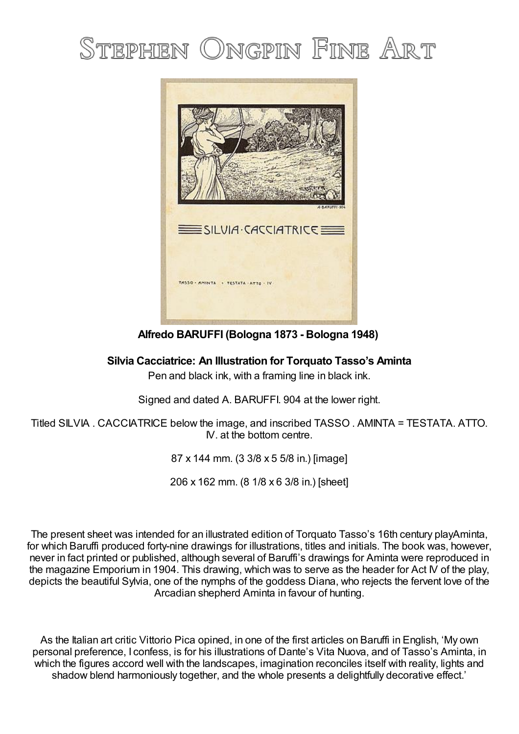# STEPHEN ONGPIN FINE ART



**Alfredo BARUFFI (Bologna 1873 - Bologna 1948)**

## **Silvia Cacciatrice: An Illustration for Torquato Tasso's Aminta**

Pen and black ink, with a framing line in black ink.

Signed and dated A. BARUFFI. 904 at the lower right.

Titled SILVIA . CACCIATRICE below the image, and inscribed TASSO . AMINTA = TESTATA. ATTO. IV. at the bottom centre.

87 x 144 mm. (3 3/8 x 5 5/8 in.) [image]

206 x 162 mm. (8 1/8 x 6 3/8 in.) [sheet]

The present sheet was intended for an illustrated edition of Torquato Tasso's 16th century playAminta, for which Baruffi produced forty-nine drawings for illustrations, titles and initials. The book was, however, never in fact printed or published, although several of Baruffi's drawings for Aminta were reproduced in the magazine Emporium in 1904. This drawing, which was to serve as the header for Act IV of the play, depicts the beautiful Sylvia, one of the nymphs of the goddess Diana, who rejects the fervent love of the Arcadian shepherd Aminta in favour of hunting.

As the Italian art critic Vittorio Pica opined, in one of the first articles on Baruffi in English, 'My own personal preference, I confess, is for his illustrations of Dante's Vita Nuova, and of Tasso's Aminta, in which the figures accord well with the landscapes, imagination reconciles itself with reality, lights and shadow blend harmoniously together, and the whole presents a delightfully decorative effect.'